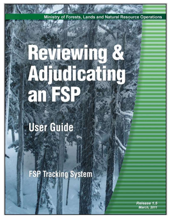Ministry of Forests, Lands and Natural Resource Operations

# Reviewing & Adjudicating an FSP

# User Guide

**FSP Tracking System** 

Release 1.5 **March, 2011**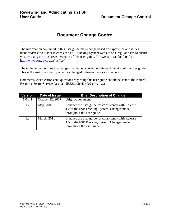## **Document Change Control**

<span id="page-1-0"></span>The information contained in this user guide may change based on experience and issues identified/resolved. Please check the FSP Tracking System website on a regular basis to ensure you are using the most recent version of this user guide. The website can be found at: [http://www.for.gov.bc.ca/his/fsp/.](http://www.for.gov.bc.ca/his/fsp/)

The table below outlines the changes that have occurred within each version of the user guide. This will assist you identify what has changed between the various versions.

Comments, clarifications and questions regarding this user guide should be sent to the Natural Resource Sector Service Desk at NRS.ServiceDesk@gov.bc.ca.

| Version     | Date of Issue    | <b>Brief Description of Change</b>                                                                                                |
|-------------|------------------|-----------------------------------------------------------------------------------------------------------------------------------|
| $1.0 - 1.1$ | October 12, 2007 | Original document.                                                                                                                |
| 1.2         | May, 2008        | Enhance the user guide for consistency with Release<br>1.2 of the FSP Tracking System. Changes made<br>throughout the user guide. |
| 1.3         | March, 2011      | Enhance the user guide for consistency with Release<br>1.5 of the FSP Tracking System. Changes made<br>throughout the user guide. |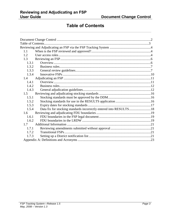### **Table of Contents**

<span id="page-2-0"></span>

| 1.1   |                                                                    |  |
|-------|--------------------------------------------------------------------|--|
| 1.2   |                                                                    |  |
| 1.3   |                                                                    |  |
| 1.3.1 |                                                                    |  |
| 1.3.2 |                                                                    |  |
| 1.3.3 |                                                                    |  |
| 1.3.4 |                                                                    |  |
| 1.4   |                                                                    |  |
| 1.4.1 |                                                                    |  |
| 1.4.2 |                                                                    |  |
| 1.4.3 |                                                                    |  |
| 1.5   |                                                                    |  |
| 1.5.1 |                                                                    |  |
| 1.5.2 |                                                                    |  |
| 1.5.3 |                                                                    |  |
| 1.5.4 | Data fix for stocking standards incorrectly entered into RESULTS18 |  |
| 1.6   |                                                                    |  |
| 1.6.1 |                                                                    |  |
| 1.6.2 |                                                                    |  |
| 1.7   |                                                                    |  |
| 1.7.1 |                                                                    |  |
| 1.7.2 |                                                                    |  |
| 1.7.3 |                                                                    |  |
|       |                                                                    |  |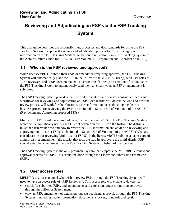# <span id="page-3-0"></span>**Reviewing and Adjudicating an FSP via the FSP Tracking System**

This user guide describes the responsibilities, processes and data standards for using the FSP Tracking System to support the review and adjudication process for FSPs. Background information on the FSP Tracking System can be found in Section 1.4 -- FSP Tracking System of the Administrative Guide for FSPs (AGFSP: Volume 1—Preparation and Approval of an FSP).

#### <span id="page-3-1"></span>**1.1 When is the FSP reviewed and approved?**

When licensees/BCTS submit their FSP, or amendment requiring approval, the FSP Tracking System will automatically place the FSP in the InBox of the MFLNRO user(s) with user roles of ―FSP reviewer‖ and ―FSP decision maker‖. Districts can also setup an email notification list in the FSP Tracking System to automatically send them an email when an FSP or amendment is submitted.

The FSP Tracking System provides the flexibility to match each district's business process and workflows for reviewing and adjudicating an FSP. Each district will determine who and how the review process will work for their location. More information on establishing the district business process for reviewing the FSP can be found in Section 5.0 of Volume I of the AGFSP (Reviewing and Approving proposed FSPs).

Multi-district FSPs will be submitted once, by the licensee/BCTS, to the FSP Tracking System which will automatically notify each District covered in the FSP via the InBox. The districts must then determine who and how to review the FSP. Information and advice on reviewing and approving multi-district FSPs can be found in Section 5.7 of Volume I of the AGFSP (What are considerations for reviewing Multi-district FSPs?). If the licensee/BCTS submits a paper copy of a multi-district amendment, the district that took the lead in approving the multi-district FSP should enter the amendment into the FSP Tracking System on behalf of the licensee.

The FSP Tracking System is the only provincial system that supports the MFLNRO's review and approval process for FSPs. This cannot be done through the Electronic Submission Framework (ESF).

#### <span id="page-3-2"></span>**1.2 User access roles**

MFLNRO district personnel who wish to review FSPs through the FSP Tracking System will need to have an access role of "FSP Reviewer". This access role will enable reviewers to:

- search for submitted FSPs, and amendments and extension requests requiring approval, through the InBox or Search menu;
- view an FSP, amendment or extension requests requiring approval, through the FSP Tracking System—including header information, documents, stocking standards and spatial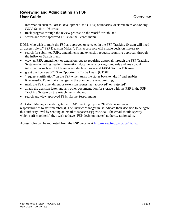information such as Forest Development Unit (FDU) boundaries, declared areas and/or any *FRPA* Section 196 areas;

- track progress through the review process on the Workflow tab; and
- search and view approved FSPs via the Search menu.

DDMs who wish to mark the FSP as approved or rejected in the FSP Tracking System will need an access role of "FSP Decision Maker". This access role will enable decision makers to:

- search for submitted FSPs, amendments and extension requests requiring approval, through the InBox or Search menu;
- view an FSP, amendment or extension request requiring approval, through the FSP Tracking System—including header information, documents, stocking standards and any spatial information such as FDU boundaries, declared areas and *FRPA* Section 196 areas;
- grant the licensee/BCTS an Opportunity To Be Heard (OTBH);
- "request clarification" on the FSP which turns the status back to "draft" and enables licensees/BCTS to make changes to the plan before re-submitting;
- mark the FSP, amendment or extension request as "approved" or "rejected";
- attach the decision letter and any other documentation for storage with the FSP in the FSP Tracking System on the Attachments tab; and
- search and view approved FSPs via the Search menu.

A District Manager can delegate their FSP Tracking System "FSP decision maker" responsibilities to staff member(s). The District Manager must indicate their decision to delegate this authority level by sending an email to fspaccess@gov.bc.ca. The email should specify which staff member(s) they wish to have "FSP decision maker" authority assigned to.

Access roles can be requested from the FSP website at [http://www.for.gov.bc.ca/his/fsp/.](http://www.for.gov.bc.ca/his/fsp/)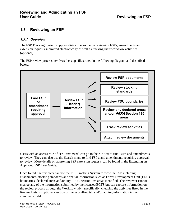#### <span id="page-5-0"></span>**1.3 Reviewing an FSP**

#### <span id="page-5-1"></span>**1.3.1 Overview**

The FSP Tracking System supports district personnel in reviewing FSPs, amendments and extension requests submitted electronically as well as tracking their workflow activities (optional).

The FSP review process involves the steps illustrated in the following diagram and described below.



Users with an access role of "FSP reviewer" can go to their InBox to find FSPs and amendments to review. They can also use the Search menu to find FSPs, and amendments requiring approval, to review. More details on approving FSP extension requests can be found in the Extending an Approved FSP User Guide.

Once found, the reviewer can use the FSP Tracking System to view the FSP including attachments, stocking standards and spatial information such as Forest Development Unit (FDU) boundaries, declared areas and/or any *FRPA* Section 196 areas identified. The reviewer cannot change any of the information submitted by the licensee/BCTS but can capture information on the review process through the Workflow tab—specifically, checking the activities listed in the Review Details (optional) section of the Workflow tab and/or adding information in the comments field.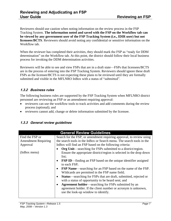Reviewers should use caution when noting information on the review process in the FSP Tracking System. **The information noted and saved with the FSP on the Workflow tab can be viewed by any government user of the FSP Tracking System (i.e., IDIR user) but not licensees**/**BCTS**. Reviewers should avoid noting any confidential or sensitive information on the Workflow tab.

When the reviewer has completed their activities, they should mark the FSP as "ready for DDM determination" on the Workflow tab. At this point, the district should follow their local business process for invoking the DDM determination activities.

Reviewers will be able to see and view FSPs that are in a draft state—FSPs that licensees/BCTS are in the process of entering into the FSP Tracking System. Reviewers should ignore these draft FSPs as the licensee/BCTS is not expecting these plans to be reviewed until they are formally submitted and visible in the MFLNRO InBox with a status of "submitted".

#### <span id="page-6-0"></span>**1.3.2 Business rules**

The following business rules are supported by the FSP Tracking System when MFLNRO district personnel are reviewing an FSP or an amendment requiring approval:

- reviewers can use the workflow tools to track activities and add comments during the review process (optional); and
- reviewers cannot add, change or delete information submitted by the licensee.

| <b>General Review Guidelines</b> |                                                                                 |  |
|----------------------------------|---------------------------------------------------------------------------------|--|
| Find the FSP or                  | Search for the FSP, or amendment requiring approval, to review using            |  |
| <b>Amendment Requiring</b>       | the search tools in the InBox or Search menu. The search tools in the           |  |
| Approval                         | In Box will find an FSP based on the following criteria:                        |  |
|                                  | Org Unit—searching for FSPs submitted to a district/region.                     |  |
| (InBox menu)                     | Ensure the appropriate district/region is selected in the drop down             |  |
|                                  | list;                                                                           |  |
|                                  | • FSP ID—finding an FSP based on the unique identifier assigned                 |  |
|                                  | to each FSP;                                                                    |  |
|                                  | <b>FSP Name—searching for an FSP based on the name of the FSP.</b><br>$\bullet$ |  |
|                                  | Wildcards are permitted in the FSP name field;                                  |  |
|                                  | <b>Status—searching for FSPs that are draft, submitted, rejected or</b><br>٠    |  |
|                                  | with a status of opportunity to be heard sent; and                              |  |
|                                  | <b>Agreement holder—searching for FSPs submitted by an</b><br>$\bullet$         |  |
|                                  | agreement holder. If the client number or acronym is unknown,                   |  |
|                                  | use the look-up window to identify.                                             |  |
|                                  |                                                                                 |  |

#### <span id="page-6-1"></span>**1.3.3 General review guidelines**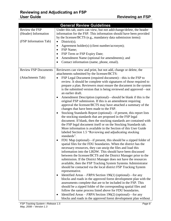| <b>General Review Guidelines</b> |                                                                                                                                      |
|----------------------------------|--------------------------------------------------------------------------------------------------------------------------------------|
| Review the FSP                   | Under this tab, users can view, but not add/change/delete, the header                                                                |
| (Header) Information             | information for the FSP. This information should have been provided                                                                  |
|                                  | by the licensee/BCTS (e.g., mandatory data submission items):                                                                        |
| (FSP Information Tab)            | District(s);                                                                                                                         |
|                                  | Agreement holder(s) (client number/acronym);<br>$\bullet$                                                                            |
|                                  | FSP Name;<br>$\bullet$                                                                                                               |
|                                  | FSP Term or FSP Expiry Date;<br>$\bullet$                                                                                            |
|                                  | Amendment Name (optional for amendments); and<br>$\bullet$                                                                           |
|                                  | Contact information (name, phone, email).<br>$\bullet$                                                                               |
| <b>Review FSP Documents</b>      | Reviewers can view and print, but not add, change or delete, the                                                                     |
|                                  | attachments submitted by the licensee/BCTS:                                                                                          |
| (Attachments Tab)                | FSP Legal Document (required document)—this is the FSP to                                                                            |
|                                  | review. It should be complete with signatures of those required to                                                                   |
|                                  | prepare a plan. Reviewers must ensure the document in the system                                                                     |
|                                  | is the submitted version that is being reviewed and approved—not                                                                     |
|                                  | an earlier draft.                                                                                                                    |
|                                  | Amendment Description (optional)—should be blank if this is the<br>٠                                                                 |
|                                  | original FSP submission. If this is an amendment requiring                                                                           |
|                                  | approval the licensee/BCTS may have attached a summary of the                                                                        |
|                                  | changes that have been made to the FSP.                                                                                              |
|                                  | Stocking Standards Report (optional)—if present, this report lists<br>٠<br>the stocking standards that are proposed in the FSP legal |
|                                  | document. If blank, then the stocking standards are contained with                                                                   |
|                                  | the FSP legal document itself or on the Stocking Standards tab.                                                                      |
|                                  | More information is available in the Section of this User Guide                                                                      |
|                                  | labeled Section 1.5 "Reviewing and adjudicating stocking                                                                             |
|                                  | standards".                                                                                                                          |
|                                  | FDU Map (optional)—if present, this should be a zipped folder of                                                                     |
|                                  | spatial files for the FDU boundaries. When the district has the                                                                      |
|                                  | necessary resources, they can unzip the files and load this                                                                          |
|                                  | information into the LRDW. This should have been discussed                                                                           |
|                                  | between the licensee/BCTS and the District Manager prior to the                                                                      |
|                                  | submission. If the District Manager does not have the resources                                                                      |
|                                  | available, then the FSP Tracking System Systems Administrator                                                                        |
|                                  | should be contacted via the local district FSP Tracking System                                                                       |
|                                  | representative.                                                                                                                      |
|                                  | Identified Areas – FRPA Section 196(1) (optional)—for any<br>blocks and roads in the approved forest development plan with the       |
|                                  | assessments complete that are to be included in the FSP. This                                                                        |
|                                  | should be a zipped folder of the corresponding spatial files and                                                                     |
|                                  | follow the same process listed above for FDU boundaries.                                                                             |
|                                  | Identified Areas - FRPA Section 196(2) (optional)—for any<br>٠                                                                       |
|                                  | blocks and roads in the approved forest development plan without                                                                     |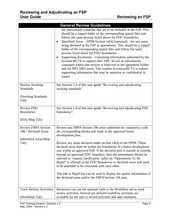|                                                                              | <b>General Review Guidelines</b>                                                                                                                                                                                                                                                                                                                                                                                                                                                                                                                                                                                                                                                                                                                                                                                 |
|------------------------------------------------------------------------------|------------------------------------------------------------------------------------------------------------------------------------------------------------------------------------------------------------------------------------------------------------------------------------------------------------------------------------------------------------------------------------------------------------------------------------------------------------------------------------------------------------------------------------------------------------------------------------------------------------------------------------------------------------------------------------------------------------------------------------------------------------------------------------------------------------------|
|                                                                              | the assessments complete that are to be included in the FSP. This<br>should be a zipped folder of the corresponding spatial files and<br>follow the same process listed above for FDU boundaries.<br>Identified Areas – FPPR Section 14(4) (optional)—for any areas<br>$\bullet$<br>being declared in the FSP or amendment. This should be a zipped<br>folder of the corresponding spatial files and follow the same<br>process listed above for FDU boundaries.<br>Supporting documents—containing information submitted by the<br>licensee/BCTS to support their FSP. Access to information<br>contained within this section is restricted to the agreement holder<br>and the MFLNRO users. This enables licensees/BCTS to submit<br>supporting information that may be sensitive or confidential in<br>nature |
| <b>Review Stocking</b><br><b>Standards</b><br>(Stocking Standards<br>Tab)    | See Section 1.5 of this user guide "Reviewing and adjudicating<br>stocking standards".                                                                                                                                                                                                                                                                                                                                                                                                                                                                                                                                                                                                                                                                                                                           |
| <b>Review FDU</b><br><b>Boundaries</b><br>(FDU/Map Tab)                      | See Section 1.6 of this user guide "Reviewing and adjudicating FDU<br>boundaries".                                                                                                                                                                                                                                                                                                                                                                                                                                                                                                                                                                                                                                                                                                                               |
| Review FRPA Section<br>196 / Declared Areas<br>(Identified Areas/Map<br>Tab) | Review any FRPA Section 196 areas submitted for consistency with<br>the corresponding blocks and roads in the approved forest<br>development plan.<br>Review any areas declared under section 14(4) of the FPPR. These<br>declared areas must be within the boundaries of a forest development<br>unit within an approved FSP. If the declared area is outside or extends<br>beyond an approved FDU boundary, then the amendment should be<br>rejected or `request clarification` (after an "Opportunity To Be<br>Heard" is offered) as the FDU boundaries or declared areas will need<br>to be amended to be consistent with each other.<br>The link to MapView can be used to display the spatial information of<br>the declared areas and/or the FRPA Section 196 area.                                       |
| <b>Track Review Activities</b><br>(Workflow Tab)                             | Reviewers can use the optional tools in the Workflow tab to track<br>review activities. Several pre-defined workflow activities are<br>available for the user to record activities and add comments                                                                                                                                                                                                                                                                                                                                                                                                                                                                                                                                                                                                              |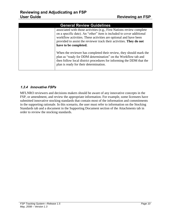| <b>General Review Guidelines</b>                                                                                                                                                                                                                                                                                  |
|-------------------------------------------------------------------------------------------------------------------------------------------------------------------------------------------------------------------------------------------------------------------------------------------------------------------|
| associated with those activities (e.g., First Nations review complete<br>on a specific date). An "other" item is included to cover additional<br>workflow activities. These activities are optional and have been<br>provided to assist the reviewer track their activities. They do not<br>have to be completed. |
| When the reviewer has completed their review, they should mark the<br>plan as "ready for DDM determination" on the Workflow tab and<br>then follow local district procedures for informing the DDM that the<br>plan is ready for their determination.                                                             |

#### <span id="page-9-0"></span>**1.3.4 Innovative FSPs**

MFLNRO reviewers and decisions makers should be aware of any innovative concepts in the FSP, or amendment, and review the appropriate information. For example, some licensees have submitted innovative stocking standards that contain most of the information and commitments in the supporting rationale. In this scenario, the user must refer to information on the Stocking Standards tab and a document in the Supporting Document section of the Attachments tab in order to review the stocking standards.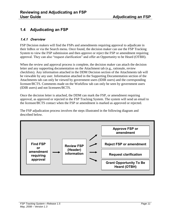#### <span id="page-10-0"></span>**1.4 Adjudicating an FSP**

#### <span id="page-10-1"></span>**1.4.1 Overview**

FSP Decision makers will find the FSPs and amendments requiring approval to adjudicate in their InBox or via the Search menu. Once found, the decision maker can use the FSP Tracking System to view the FSP submission and then approve or reject the FSP or amendment requiring approval. They can also "request clarification" and offer an Opportunity to be Heard (OTBH).

When the review and approval process is complete, the decision maker can attach the decision letter and any supporting documentation on the Attachment tab (e.g., rationale, review checklists). Any information attached in the DDM Decision section of the Attachments tab will be viewable by any user. Information attached in the Supporting Documentation section of the Attachments tab can only be viewed by government users (IDIR users) and the corresponding licensee/BCTS. Comments made on the Workflow tab can only be seen by government users (IDIR users) and not licensees/BCTS.

Once the decision letter is attached, the DDM can mark the FSP, or amendment requiring approval, as approved or rejected in the FSP Tracking System. The system will send an email to the licensee/BCTS contact when the FSP or amendment is marked as approved or rejected.

The FSP adjudication process involves the steps illustrated in the following diagram and described below.

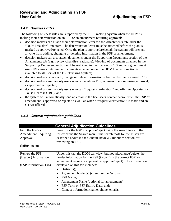#### <span id="page-11-0"></span>**1.4.2 Business rules**

The following business rules are supported by the FSP Tracking System when the DDM is making their determination on an FSP or an amendment requiring approval:

- decision makers can attach their determination letter via the Attachments tab under the "DDM Decision" line item. The determination letter must be attached before the plan is marked as approved/rejected. Once the plan is approved/rejected, the system will prevent anyone from adding, changing or deleting information in the FSP or amendment;
- decision makers can also attach documents under the Supporting Documents section of the Attachments tab (e.g., review checklists, rationale). Viewing of documents attached in the Supporting Document section will be restricted to the licensee/BCTS and any government user (IDIR users). Access to documents attached under the DDM Decision section is available to all users of the FSP Tracking System;
- decision makers cannot add, change or delete information submitted by the licensee/BCTS;
- decision makers are the only users who can mark an FSP, or amendment requiring approval, as approved or rejected;
- decision makers are the only users who can "request clarification" and offer an Opportunity To Be Heard (OTBH); and
- the system will automatically send an email to the licensee's contact person when the FSP or amendment is approved or rejected as well as when a "request clarification" is made and an OTBH offered.

| <b>General Adjudication Guidelines</b> |                                                                    |  |
|----------------------------------------|--------------------------------------------------------------------|--|
| Find the FSP or                        | Search for the FSP to approve/reject using the search tools in the |  |
| <b>Amendment Requiring</b>             | In Box or via the Search menu. The search tools for the In Box are |  |
| Approval                               | described above in the General Review Guidelines section for       |  |
|                                        | reviewing an FSP.                                                  |  |
| (InBox menu)                           |                                                                    |  |
|                                        |                                                                    |  |
| Review the FSP                         | Under this tab, the DDM can view, but not add/change/delete, the   |  |
| (Header) Information                   | header information for the FSP (to confirm the correct FSP, or     |  |
|                                        | amendment requiring approval, to approve/reject). The information  |  |
| (FSP Information Tab)                  | displayed on this tab includes:                                    |  |
|                                        | District(s);                                                       |  |
|                                        | Agreement holder(s) (client number/acronym);                       |  |
|                                        | FSP Name;<br>$\bullet$                                             |  |
|                                        | Amendment Name (optional for amendments);<br>$\bullet$             |  |
|                                        | FSP Term or FSP Expiry Date; and;                                  |  |
|                                        | Contact information (name, phone, email).                          |  |
|                                        |                                                                    |  |

#### <span id="page-11-1"></span>**1.4.3 General adjudication guidelines**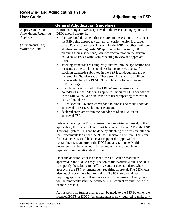|                                                       | <b>General Adjudication Guidelines</b>                                                                                                                                                                                                                                                                                                                                                                                                                                                                                                                                                                                                                                                                                                                                                                                                                                                                                                                                                                                                                                                                                                                                                                                   |
|-------------------------------------------------------|--------------------------------------------------------------------------------------------------------------------------------------------------------------------------------------------------------------------------------------------------------------------------------------------------------------------------------------------------------------------------------------------------------------------------------------------------------------------------------------------------------------------------------------------------------------------------------------------------------------------------------------------------------------------------------------------------------------------------------------------------------------------------------------------------------------------------------------------------------------------------------------------------------------------------------------------------------------------------------------------------------------------------------------------------------------------------------------------------------------------------------------------------------------------------------------------------------------------------|
| Approve an FSP or                                     | Before marking an FSP as approved in the FSP Tracking System, the                                                                                                                                                                                                                                                                                                                                                                                                                                                                                                                                                                                                                                                                                                                                                                                                                                                                                                                                                                                                                                                                                                                                                        |
| <b>Amendment Requiring</b>                            | DDM should ensure that:                                                                                                                                                                                                                                                                                                                                                                                                                                                                                                                                                                                                                                                                                                                                                                                                                                                                                                                                                                                                                                                                                                                                                                                                  |
| Approval<br>(Attachments Tab;<br><b>Workflow Tab)</b> | the FSP legal document that is stored in the system is the same as<br>$\bullet$<br>the FSP being approved (e.g., not an earlier version if a paper<br>based FSP is submitted). This will be the FSP that others will look<br>at when conducting post-FSP approval activities (e.g., C&E)<br>planning their inspections). An incorrect version in the system<br>could cause issues with users expecting to view the approved<br>FSP;<br>stocking standards are completely entered into the application and<br>٠<br>the same as the stocking standards being approved (e.g., if<br>stocking standards submitted in the FSP legal document and on<br>the Stocking Standards tab). These stocking standards will be<br>made available in the RESULTS application for assignment to<br>FSP openings;<br>FDU boundaries stored in the LRDW are the same as the<br>$\bullet$<br>boundaries in the FSP being approved. Incorrect FDU boundaries<br>in the LRDW could be an issue with users expecting to view the<br>correct boundaries;<br>FRPA section 196 areas correspond to blocks and roads under an<br>approved Forest Development Plan; and<br>declared areas are within the boundaries of an FDU in an<br>approved FSP. |
|                                                       | Before approving the FSP, or amendment requiring approval, in the<br>application, the decision letter must be attached to the FSP in the FSP<br>Tracking System. This can be done by attaching the decision letter on<br>the Attachments tab under the "DDM Decision" line item. The letter<br>that is attached should be an exact copy of the approval letter<br>containing the signature of the DDM and any rationale. Multiple<br>documents can be attached—for example, the approval letter is<br>separate from the rationale document.<br>Once the decision letter is attached, the FSP can be marked as<br>approved in the "DDM Only" section of the Workflow tab. The DDM<br>can specify the submission, effective and/or decision dates when<br>approving the FSP, or amendment requiring approval. The DDM can<br>also attach a comment before saving. The FSP, or amendment<br>requiring approval, will then have a status of approved. The system<br>will automatically send the licensee/BCTS contact an email with the<br>change in status.                                                                                                                                                                 |
|                                                       | At this point, no further changes can be made to the FSP by either the<br>licensee/BCTS or DDM. An amendment is now required to make any                                                                                                                                                                                                                                                                                                                                                                                                                                                                                                                                                                                                                                                                                                                                                                                                                                                                                                                                                                                                                                                                                 |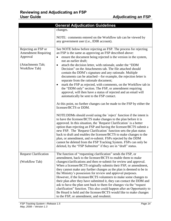|                                                                                                     | <b>General Adjudication Guidelines</b>                                                                                                                                                                                                                                                                                                                                                                                                                                                                                                                                                                                                                                                                                                                                                                                                                                                                                                                                                                                                                                                                                                                                                                                                                                                                                                                                                                                                                                                                                                       |
|-----------------------------------------------------------------------------------------------------|----------------------------------------------------------------------------------------------------------------------------------------------------------------------------------------------------------------------------------------------------------------------------------------------------------------------------------------------------------------------------------------------------------------------------------------------------------------------------------------------------------------------------------------------------------------------------------------------------------------------------------------------------------------------------------------------------------------------------------------------------------------------------------------------------------------------------------------------------------------------------------------------------------------------------------------------------------------------------------------------------------------------------------------------------------------------------------------------------------------------------------------------------------------------------------------------------------------------------------------------------------------------------------------------------------------------------------------------------------------------------------------------------------------------------------------------------------------------------------------------------------------------------------------------|
|                                                                                                     | changes.                                                                                                                                                                                                                                                                                                                                                                                                                                                                                                                                                                                                                                                                                                                                                                                                                                                                                                                                                                                                                                                                                                                                                                                                                                                                                                                                                                                                                                                                                                                                     |
|                                                                                                     | NOTE: comments entered on the Workflow tab can be viewed by<br>any government user (i.e., IDIR account).                                                                                                                                                                                                                                                                                                                                                                                                                                                                                                                                                                                                                                                                                                                                                                                                                                                                                                                                                                                                                                                                                                                                                                                                                                                                                                                                                                                                                                     |
| Rejecting an FSP or<br><b>Amendment Requiring</b><br>Approval<br>(Attachments Tab;<br>Workflow Tab) | See NOTE below before rejecting an FSP. The process for rejecting<br>an FSP is the same as approving an FSP described above:<br>ensure the document being rejected is the version in the system,<br>$\bullet$<br>not an earlier draft;<br>attach the decision letter, with rationale, under the "DDM<br>٠<br>Decision" on the Attachments tab. The file attached should<br>contain the DDM's signature and any rationale. Multiple<br>documents can be attached—for example, the rejection letter is<br>separate from the rationale document;<br>mark the FSP as rejected, with comments, on the Workflow tab in<br>٠<br>the "DDM only" section. The FSP, or amendment requiring<br>approval, will then have a status of rejected and an email will<br>automatically be sent to the FSP contact.<br>At this point, no further changes can be made to the FSP by either the<br>licensee/BCTS or DDM.<br>NOTE:DDMs should avoid using the 'reject' function if the intent is<br>to have the licensee/BCTS make changes to the plan before it is<br>approved. In this situation, the `Request Clarification` is a better<br>option than rejecting an FSP and having the licensee/BCTS submit a<br>new FSP. The `Request Clarification` function sets the plan status<br>back to draft and enables the licensee/BCTS to make changes to the<br>plan, or amendment, and re-submit. FSPs rejected by the DDM<br>cannot be deleted from the FSP Tracking System. FSPs can only be<br>deleted, by the "FSP Submitter" if they are in "draft" status. |
| <b>Request Clarification</b><br>(Workflow Tab)                                                      | The function of "requesting clarification" sends the FSP, or<br>amendment, back to the licensee/BCTS to enable them to make<br>changes/clarifications and then re-submit for review and approval.<br>When a licensee/BCTS originally submits their FSP, or amendment,<br>they cannot make any further changes as the plan is deemed to be in<br>the Ministry's possession for review and approval purposes.<br>However, if the licensee/BCTS volunteers to make some changes to<br>their plan after they have submitted it, they can contact the DDM and                                                                                                                                                                                                                                                                                                                                                                                                                                                                                                                                                                                                                                                                                                                                                                                                                                                                                                                                                                                     |
|                                                                                                     | ask to have the plan sent back to them for changes via the "request"<br>clarification" function. This also could happen after an Opportunity to<br>Be Heard is held and the licensee/BCTS would like to make changes<br>to the FSP, or amendment, and resubmit.                                                                                                                                                                                                                                                                                                                                                                                                                                                                                                                                                                                                                                                                                                                                                                                                                                                                                                                                                                                                                                                                                                                                                                                                                                                                              |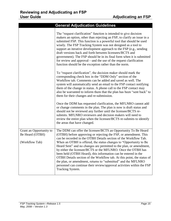| <b>General Adjudication Guidelines</b>                       |                                                                                                                                                                                                                                                                                                                                                                                                                                                                                                                                                                                                                                                                                                                               |  |
|--------------------------------------------------------------|-------------------------------------------------------------------------------------------------------------------------------------------------------------------------------------------------------------------------------------------------------------------------------------------------------------------------------------------------------------------------------------------------------------------------------------------------------------------------------------------------------------------------------------------------------------------------------------------------------------------------------------------------------------------------------------------------------------------------------|--|
|                                                              | The "request clarification" function is intended to give decision<br>makers an option, other than rejecting an FSP, to clarify an issue in a<br>submitted FSP. This function is a powerful tool that should be used<br>wisely. The FSP Tracking System was not designed as a tool to<br>support an iterative development approach to the FSP (e.g., sending<br>draft versions back and forth between licensees/BCTS and<br>government). The FSP should be in its final form when it is submitted<br>for review and approval—and the use of the request clarification<br>function should be the exception rather than the norm.                                                                                                |  |
|                                                              | To "request clarification", the decision maker should mark the<br>corresponding check box in the "DDM Only" section of the<br>Workflow tab. Comments can be added and saved as well. The<br>system will automatically send an email to the FSP contact notifying<br>them of the change in status. A phone call to the FSP contact may<br>also be warranted to inform them that the plan has been "sent back" to<br>them for their changes and re-submission.                                                                                                                                                                                                                                                                  |  |
|                                                              | Once the DDM has requested clarification, the MFLNRO cannot add<br>or change comments in the plan. The plan is now is draft status and<br>should not be reviewed any further until the licensee/BCTS re-<br>submits. MFLNRO reviewers and decision makers will need to<br>review the entire plan when the licensee/BCTS re-submits to identify<br>the areas that have changed.                                                                                                                                                                                                                                                                                                                                                |  |
| Grant an Opportunity to<br>Be Heard (OTBH)<br>(Workflow Tab) | The DDM can offer the licensee/BCTS an Opportunity To Be Heard<br>(OTBH) before approving or rejecting the FSP, or amendment. This<br>can be recorded in the OTBH Details section of the Workflow Tab.<br>When an OTBH is offered, the status changes to "Opportunity to Be<br>Heard Sent" and no changes are permitted to the plan, or amendment,<br>by either the licensee/BCTS or the MFLNRO. Once the OTBH has<br>been held (OTBH Heard), this information can be entered in the<br>OTBH Details section of the Workflow tab. At this point, the status of<br>the plan, or amendment, returns to "submitted" and the MFLNRO<br>personnel can continue their review/approval activities within the FSP<br>Tracking System. |  |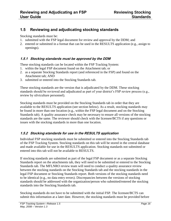#### <span id="page-15-0"></span>**1.5 Reviewing and adjudicating stocking standards**

Stocking standards must be:

- 1. submitted with the FSP legal document for review and approval by the DDM; and
- 2. entered or submitted in a format that can be used in the RESULTS application (e.g., assign to openings).

#### <span id="page-15-1"></span>**1.5.1 Stocking standards must be approved by the DDM**

These stocking standards can be located within the FSP Tracking System:

- 1. within the legal FSP document found on the Attachment tab; or
- 2. as a separate Stocking Standards report (and referenced in the FSP) and found on the Attachment tab; AND
- 3. submitted or entered into the Stocking Standards tab.

These stocking standards are the version that is adjudicated by the DDM. These stocking standards should be reviewed and adjudicated as part of your district's FSP review process (e.g., review by silviculture personnel).

Stocking standards must be provided on the Stocking Standards tab in order that they are available to the RESULTS application (see section below). As a result, stocking standards may be found in more than one location (e.g., within the FSP legal document and on the Stocking Standards tab). A quality assurance check may be necessary to ensure all versions of the stocking standards are the same. The reviewer should check with the licensee/BCTS if any questions or issues with the stocking standards in more than one location.

#### <span id="page-15-2"></span>**1.5.2 Stocking standards for use in the RESULTS application**

Individual FSP stocking standards must be submitted or entered into the Stocking Standards tab of the FSP Tracking System. Stocking standards on this tab will be stored in the central database and made available for use in the RESULTS application. Stocking standards not submitted or entered into this tab will not be available to RESULTS.

If stocking standards are submitted as part of the legal FSP document or as a separate Stocking Standards report on the attachments tab, they will need to be submitted or entered to the Stocking Standards tab. The MFLNRO review team will need to conduct a quality assurance review between the stocking standards on the Stocking Standards tab and the stocking standards in the legal FSP document or Stocking Standards report. Both versions of the stocking standards need to be identical (e.g., no data entry errors). Discrepancies between the versions of stocking standards should be addressed with the organization/person who submitted/entered the stocking standards into the Stocking Standards tab.

Stocking standards do not have to be submitted with the initial FSP. The licensee/BCTS can submit this information at a later date. However, the stocking standards must be provided before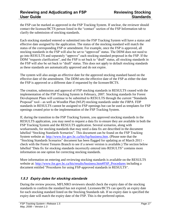the FSP can be marked as approved in the FSP Tracking System. If unclear, the reviewer should contact the licensee/BCTS person listed in the "contact" section of the FSP Information tab to clarify the submission of stocking standards.

Each stocking standard entered or submitted into the FSP Tracking System will have a status and effective date assigned by the application. The status of the stocking standard will match the status of the corresponding FSP or amendment. For example, once the FSP is approved, all stocking standards in the FSP will also be set to "approved" status. The DDM does not need to go into RESULTS and separately "approve" each stocking standard proposed in the FSP. If the DDM "requests clarification", and the FSP is set back to "draft" status, all stocking standards in the FSP will also be set back to "draft" status. This does not apply to default stocking standards as these standards are automatically approved and do not expire.

The system will also assign an effective date for the approved stocking standard based on the effective date of the amendment. The DDM sets the effective date of the FSP as either the date the FSP is approved or a different date if requested by the licensee/BCTS.

The creation, submission and approval of FSP stocking standards in RESULTS ceased with the implementation of the FSP Tracking System in February, 2007. Stocking standards for Forest Development Plans will continue to be submitted to RESULTS through the current "Standards" Proposal" tool—as well as Woodlot Plan (WLP) stocking standards under the *FRPA*. FDP standards in RESULTS cannot be assigned to FSP openings but can be used as templates for FSP openings created prior to the implementation of the FSP Tracking System.

If, during the transition to the FSP Tracking System, you approved stocking standards in the RESULTS application, you may need to request a data fix to ensure they are available in both the FSP Tracking System and the RESULTS application. Several scenarios, along with workarounds, for stocking standards that may need a data fix are described in the document labelled "Stocking Standards Scenarios". This document can be found on the FSP Tracking System website at: [http://www.for.gov.bc.ca/his/fsp/business.htm.](http://www.for.gov.bc.ca/his/fsp/business.htm) (Please note that the ―Stocking Standards Scenarios‖ document has been flagged for updating as of March 2011 check with the Forest Tenures Branch to see if a newer version is available.) The section below labelled "Data fix for stocking standards incorrectly entered into RESULTS" contains more information on one option for correcting stocking standards.

More information on entering and reviewing stocking standards is available on the RESULTS website at: [http://www.for.gov.bc.ca/his/results/business.htm#FSP\\_Procedures](http://www.for.gov.bc.ca/his/results/business.htm#FSP_Procedures) including a document entitled "Procedures for using FSP-approved standards in RESULTS".

#### <span id="page-16-0"></span>**1.5.3 Expiry dates for stocking standards**

During the review process, MFLNRO reviewers should check the expiry date of the stocking standards to confirm the standard has not expired. Licensees/BCTS can specify an expiry date for each stocking standard listed on the Stocking Standards tab. If no expiry date is specified the expiry date will match the expiry date of the FSP. This is the preferred option.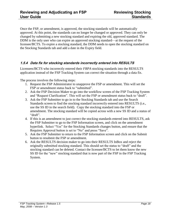Once the FSP, or amendment, is approved, the stocking standards will be automatically approved. At this point, the standards can no longer be changed or approved. They can only be changed by submitting a new stocking standard and expiring the old, approved standard. The DDM is the only user who can expire an approved stocking standard—at the request of the licensee/BCTS. To expire a stocking standard, the DDM needs to open the stocking standard on the Stocking Standards tab and add a date in the Expiry field.

#### <span id="page-17-0"></span>**1.5.4 Data fix for stocking standards incorrectly entered into RESULTS**

Licensees/BCTS who incorrectly entered their *FRPA* stocking standards into the RESULTS application instead of the FSP Tracking System can correct the situation through a data fix.

The process involves the following steps:

- 1. Request the FSP Administrator to unapprove the FSP or amendment. This will set the FSP or amendment status back to "submitted".
- 2. Ask the FSP Decision Maker to go into the workflow screen of the FSP Tracking System and "Request Clarification". This will set the FSP or amendment status back to "draft".
- 3. Ask the FSP Submitter to go in to the Stocking Standards tab and use the Search Standards screen to find the stocking standard incorrectly entered into RESULTS (i.e., use the SS ID in the search field). Copy the stocking standard into the FSP or amendment. The stocking standard will be copied across with a new SS ID and a status of "draft".
- 4. If this is an amendment to just correct the stocking standards entered into RESULTS, ask the FSP Submitter to go to the FSP Information screen, and click on the amendment hyperlink. Select "Yes" for the Stocking Standards changes button, and ensure that the Requires Approval button is set to "No" and press "Save".
- 5. Ask the FSP Submitter to return to the FSP Information screen and click on the Submit button to resubmit the FSP or amendment.
- 6. Ask the RESULTS decision maker to go into their RESULTS InBox and reject the originally submitted stocking standard. This should set the status to "draft" and the stocking standard can be deleted. Contact the licensee/BCTS to let them know the new SS ID for the "new" stocking standard that is now part of the FSP in the FSP Tracking System.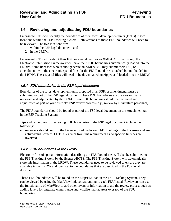#### <span id="page-18-0"></span>**1.6 Reviewing and adjudicating FDU boundaries**

Licensees/BCTS will identify the boundaries of their forest development units (FDUs) in two locations within the FSP Tracking System. Both versions of these FDU boundaries will need to be reviewed. The two locations are:

- 1. within the FSP legal document; and
- 2. in the LRDW.

Licensees/BCTS who submit their FSP, or amendment, as an XML/GML file through the Electronic Submission Framework will have their FDU boundaries automatically loaded into the LRDW. Some licensees who cannot generate an XML/GML may submit their FSP, or amendment, with the electronic spatial files for the FDU boundaries attached but not loaded into the LRDW. These spatial files will need to be downloaded, unzipped and loaded into the LRDW.

#### <span id="page-18-1"></span>**1.6.1 FDU boundaries in the FSP legal document**

Boundaries of the forest development units proposed in an FSP, or amendment, must be submitted as part of the FSP legal document. These FDU boundaries are the version that is reviewed and adjudicated by the DDM. These FDU boundaries should be reviewed and adjudicated as part of your district's FSP review process (e.g., review by silviculture personnel).

The FDU boundaries should be found as part of the FSP legal document on the Attachment tab in the FSP Tracking System.

Tips and techniques for reviewing FDU boundaries in the FSP legal document include the following:

• reviewers should confirm the Licence listed under each FDU belongs to the Licensee and are active/valid licences. BCTS is exempt from this requirement as no specific licences are involved.

#### <span id="page-18-2"></span>**1.6.2 FDU boundaries in the LRDW**

Electronic files of spatial information describing the FDU boundaries will also be submitted to the FSP Tracking System by the licensee/BCTS. The FSP Tracking System will automatically store this information in the LRDW. These boundaries need to be reviewed to ensure they are available in the LRDW and identical to the boundaries that are described in the FSP legal document.

These FDU boundaries will be found on the Map/FDU tab in the FSP Tracking System. They can be viewed by using the MapView link corresponding to each FDU listed. Reviewers can use the functionality of MapView to add other layers of information to aid the review process such as adding layers for ungulate winter range and wildlife habitat areas over top of the FDU boundaries.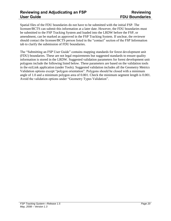Spatial files of the FDU boundaries do not have to be submitted with the initial FSP. The licensee/BCTS can submit this information at a later date. However, the FDU boundaries must be submitted to the FSP Tracking System and loaded into the LRDW before the FSP, or amendment, can be marked as approved in the FSP Tracking System. If unclear, the reviewer should contact the licensee/BCTS person listed in the "contact" section of the FSP Information tab to clarify the submission of FDU boundaries.

The "Submitting an FSP User Guide" contains mapping standards for forest development unit (FDU) boundaries. These are not legal requirements but suggested standards to ensure quality information is stored in the LRDW. Suggested validation parameters for forest development unit polygons include the following listed below. These parameters are based on the validation tools in the eziLink application (under Tools). Suggested validation includes all the Geometry Metrics Validation options except "polygon orientation". Polygons should be closed with a minimum angle of 1.0 and a minimum polygon area of 0.001. Check the minimum segment length is 0.001. Avoid the validation options under "Geometry Types Validation".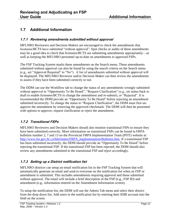#### <span id="page-20-0"></span>**1.7 Additional Information**

#### <span id="page-20-1"></span>**1.7.1 Reviewing amendments submitted without approval**

MFLNRO Reviewers and Decision Makers are encouraged to check the amendments that licensees/BCTS have submitted "without approval". Spot checks or audits of these amendments may be a good idea to check that licensees/BCTS are submitting amendments appropriately—as well as keeping the MFLNRO personnel up-to-date on amendments to approved FSPs.

The FSP Tracking System marks these amendments on the Search menu. These amendments submitted without approval can also be found by using the search criteria on the Search menu (e.g., set "Approval Required" to "No"). A list of amendments submitted without approval will be displayed. The MFLNRO Reviewer and/or Decision Maker can then review the amendments to assess if they have been submitted correctly or not.

The DDM can use the Workflow tab to change the status of any amendments wrongly submitted without approval to "Opportunity To Be Heard", "Request Clarification" (e.g., set status back to draft to enable licensees/BCTS to change the amendment and re-submit), or "Rejected". It is recommended the DDM provide an "Opportunity To Be Heard" before rejecting an amendment submitted incorrectly. To change the status to "Request Clarification", the DDM must first unapprove the amendment by removing the approved checkmark. The DDM will then be presented with options to approve, request clarification or reject the amendment.

#### <span id="page-20-2"></span>**1.7.2 Transitional FSPs**

MFLNRO Reviewers and Decision Makers should also monitor transitional FSPs to ensure they have been submitted correctly. More information on transitional FSPs can be found in FRPA bulletins number 2, 7 and 13 on the Provincial *FRPA* Implementation Team (PFIT) website at: [http://www.for.gov.bc.ca/hth/timten/FRPA\\_implementation/Bulletins.htm.](http://www.for.gov.bc.ca/hth/timten/FRPA_implementation/Bulletins.htm) If a transitional FSP has been submitted incorrectly, the DDM should provide an "Opportunity To Be Heard" before rejecting the transitional FSP. If the transitional FSP has been rejected, the DDM should also review any amendments submitted to the transitional FSP and reject accordingly.

#### <span id="page-20-3"></span>**1.7.3 Setting up a District notification list**

MFLNRO districts can setup an email notification list in the FSP Tracking System that will automatically generate an email and send to everyone on the notification list when an FSP or amendment is submitted. This includes amendments requiring approval and those submitted without approval. The email will include a brief description of the FSP (e.g., FSP ID) and amendment (e.g., information entered on the Amendment Information screen).

To setup the notification list, the DDM will use the Admin Tab menu and select their district from the drop down list. Add users to the notification list by entering their IDIR account into the field on the screen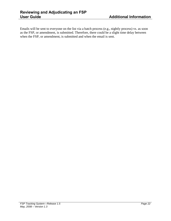Emails will be sent to everyone on the list via a batch process (e.g., nightly process) vs. as soon as the FSP, or amendment, is submitted. Therefore, there could be a slight time delay between when the FSP, or amendment, is submitted and when the email is sent.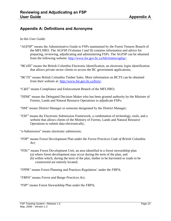#### <span id="page-22-0"></span>**Appendix A: Definitions and Acronyms**

In this User Guide:

- "AGFSP" means the Administrative Guide to FSPs maintained by the Forest Tenures Branch of the MFLNRO. The AGFSP (Volumes I and II) contains information and advice for preparing, reviewing, adjudicating and administering FSPs. The AGFSP can be obtained from the following website: [http://www.for.gov.bc.ca/hth/timten/agfsp/;](http://www.for.gov.bc.ca/hth/timten/agfsp/)
- ―BCeID‖ means the British Columbia Electronic Identification, an electronic login identification that allows private sector clients to access the BC government applications;
- "BCTS" means British Columbia Timber Sales. More information on BCTS can be obtained from their website at: [http://www.for.gov.bc.ca/bcts/;](http://www.for.gov.bc.ca/bcts/)
- ―C&E‖ means Compliance and Enforcement Branch of the MFLNRO;
- "DDM" means the Delegated Decision Maker who has been granted authority by the Minister of Forests, Lands and Natural Resource Operations to adjudicate FSPs;
- ―DM‖ means District Manager or someone designated by the District Manager;
- ―ESF‖ means the Electronic Submission Framework, a combination of technology, tools, and a website that allows clients of the Ministry of Forests, Lands and Natural Resource Operations to submit data electronically;
- "
e-Submission" means electronic submission;
- ―FDP‖ means Forest Development Plan under the *Forest Practices Code of British Columbia Act*;
- "FDU" means Forest Development Unit, an area identified in a forest stewardship plan
	- (a) where forest development may occur during the term of the plan, and
	- (b) within which, during the term of the plan, timber to be harvested or roads to be constructed are entirely located;
- ―FPPR‖ means Forest Planning and Practices Regulation' under the *FRPA*;
- ―*FRPA*‖ means *Forest and Range Practices Act*;
- ―FSP‖ means Forest Stewardship Plan under the *FRPA*;